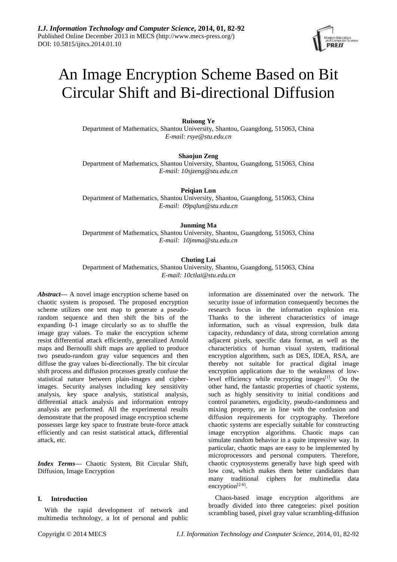# An Image Encryption Scheme Based on Bit Circular Shift and Bi-directional Diffusion

# **Ruisong Ye**

Department of Mathematics, Shantou University, Shantou, Guangdong, 515063, China *E-mail: rsye@stu.edu.cn*

**Shaojun Zeng**

Department of Mathematics, Shantou University, Shantou, Guangdong, 515063, China *E-mail: 10sjzeng@stu.edu.cn*

**Peiqian Lun**

Department of Mathematics, Shantou University, Shantou, Guangdong, 515063, China *E-mail: 09pqlun@stu.edu.cn*

## **Junming Ma**

Department of Mathematics, Shantou University, Shantou, Guangdong, 515063, China *E-mail: 10jmma@stu.edu.cn*

# **Chuting Lai**

Department of Mathematics, Shantou University, Shantou, Guangdong, 515063, China *E-mail: 10ctlai@stu.edu.cn*

*Abstract***—** A novel image encryption scheme based on chaotic system is proposed. The proposed encryption scheme utilizes one tent map to generate a pseudorandom sequence and then shift the bits of the expanding 0-1 image circularly so as to shuffle the image gray values. To make the encryption scheme resist differential attack efficiently, generalized Arnold maps and Bernoulli shift maps are applied to produce two pseudo-random gray value sequences and then diffuse the gray values bi-directionally. The bit circular shift process and diffusion processes greatly confuse the statistical nature between plain-images and cipherimages. Security analyses including key sensitivity analysis, key space analysis, statistical analysis, differential attack analysis and information entropy analysis are performed. All the experimental results demonstrate that the proposed image encryption scheme possesses large key space to frustrate brute-force attack efficiently and can resist statistical attack, differential attack, etc.

*Index Terms***—** Chaotic System, Bit Circular Shift, Diffusion, Image Encryption

## **I. Introduction**

With the rapid development of network and multimedia technology, a lot of personal and public

information are disseminated over the network. The security issue of information consequently becomes the research focus in the information explosion era. Thanks to the inherent characteristics of image information, such as visual expression, bulk data capacity, redundancy of data, strong correlation among adjacent pixels, specific data format, as well as the characteristics of human visual system, traditional encryption algorithms, such as DES, IDEA, RSA, are thereby not suitable for practical digital image encryption applications due to the weakness of lowlevel efficiency while encrypting images $[1]$ . On the other hand, the fantastic properties of chaotic systems, such as highly sensitivity to initial conditions and control parameters, ergodicity, pseudo-randomness and mixing property, are in line with the confusion and diffusion requirements for cryptography. Therefore chaotic systems are especially suitable for constructing image encryption algorithms. Chaotic maps can simulate random behavior in a quite impressive way. In particular, chaotic maps are easy to be implemented by microprocessors and personal computers. Therefore, chaotic cryptosystems generally have high speed with low cost, which makes them better candidates than many traditional ciphers for multimedia data encryption $[2-6]$ .

Chaos-based image encryption algorithms are broadly divided into three categories: pixel position scrambling based, pixel gray value scrambling-diffusion

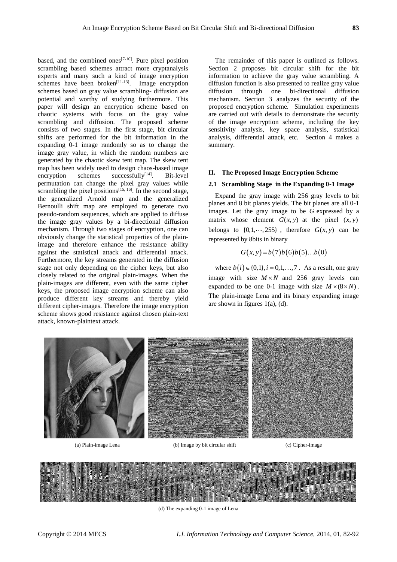based, and the combined ones<sup>[7-10]</sup>. Pure pixel position scrambling based schemes attract more cryptanalysis experts and many such a kind of image encryption schemes have been broken $[11-13]$ . Image encryption schemes based on gray value scrambling- diffusion are potential and worthy of studying furthermore. This paper will design an encryption scheme based on chaotic systems with focus on the gray value scrambling and diffusion. The proposed scheme consists of two stages. In the first stage, bit circular shifts are performed for the bit information in the expanding 0-1 image randomly so as to change the image gray value, in which the random numbers are generated by the chaotic skew tent map. The skew tent map has been widely used to design chaos-based image encryption schemes successfully $[14]$ . Bit-level permutation can change the pixel gray values while scrambling the pixel positions<sup>[15, 16]</sup>. In the second stage, the generalized Arnold map and the generalized Bernoulli shift map are employed to generate two pseudo-random sequences, which are applied to diffuse the image gray values by a bi-directional diffusion mechanism. Through two stages of encryption, one can obviously change the statistical properties of the plainimage and therefore enhance the resistance ability against the statistical attack and differential attack. Furthermore, the key streams generated in the diffusion stage not only depending on the cipher keys, but also closely related to the original plain-images. When the plain-images are different, even with the same cipher keys, the proposed image encryption scheme can also produce different key streams and thereby yield different cipher-images. Therefore the image encryption scheme shows good resistance against chosen plain-text attack, known-plaintext attack.

The remainder of this paper is outlined as follows. Section 2 proposes bit circular shift for the bit information to achieve the gray value scrambling. A diffusion function is also presented to realize gray value diffusion through one bi-directional diffusion mechanism. Section 3 analyzes the security of the proposed encryption scheme. Simulation experiments are carried out with details to demonstrate the security of the image encryption scheme, including the key sensitivity analysis, key space analysis, statistical analysis, differential attack, etc. Section 4 makes a summary.

# **II. The Proposed Image Encryption Scheme**

## **2.1 Scrambling Stage in the Expanding 0-1 Image**

Expand the gray image with 256 gray levels to bit planes and 8 bit planes yields. The bit planes are all 0-1 images. Let the gray image to be *G* expressed by a matrix whose element  $G(x, y)$  at the pixel  $(x, y)$ belongs to  $\{0, 1, \dots, 255\}$ , therefore  $G(x, y)$  can be represented by 8bits in binary

$$
G(x, y) = b(7)b(6)b(5)...b(0)
$$

where  $b(i) \in \{0,1\}$ ,  $i = 0,1,...,7$ . As a result, one gray image with size  $M \times N$  and 256 gray levels can expanded to be one 0-1 image with size  $M \times (8 \times N)$ . The plain-image Lena and its binary expanding image are shown in figures  $1(a)$ ,  $(d)$ .



(a) Plain-image Lena (b) Image by bit circular shift (c) Cipher-image



(d) The expanding 0-1 image of Lena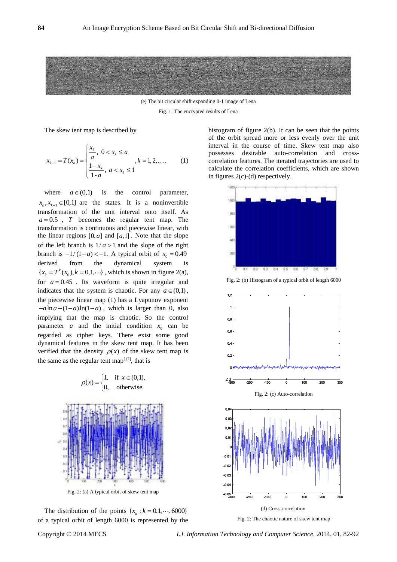

(e) The bit circular shift expanding 0-1 image of Lena

Fig. 1: The encrypted results of Lena

The skew tent map is described by

$$
x_{k+1} = T(x_k) = \begin{cases} \frac{x_k}{a}, & 0 < x_k \le a \\ \frac{1 - x_k}{1 - a}, & a < x_k \le 1 \end{cases}, k = 1, 2, \dots,
$$
 (1)

where  $a \in (0,1)$ is the control parameter,  $x_k, x_{k+1} \in [0,1]$  are the states. It is a noninvertible transformation of the unit interval onto itself. As  $a = 0.5$ , *T* becomes the regular tent map. The transformation is continuous and piecewise linear, with the linear regions  $[0, a]$  and  $[a, 1]$ . Note that the slope of the left branch is  $1/a > 1$  and the slope of the right branch is  $-1/(1-a) < -1$ . A typical orbit of  $x_0 = 0.49$ derived from the dynamical system  ${x<sub>k</sub>} = T<sup>k</sup>(x<sub>0</sub>), k = 0, 1, \cdots}$ , which is shown in figure 2(a), for  $a = 0.45$ . Its waveform is quite irregular and indicates that the system is chaotic. For any  $a \in (0,1)$ , the piecewise linear map (1) has a Lyapunov exponent  $-a \ln a - (1-a) \ln(1-a)$ , which is larger than 0, also implying that the map is chaotic. So the control parameter *a* and the initial condition  $x_0$  can be regarded as cipher keys. There exist some good dynamical features in the skew tent map. It has been verified that the density  $\rho(x)$  of the skew tent map is the same as the regular tent map $[17]$ , that is





The distribution of the points  $\{x_k : k = 0, 1, \dots, 6000\}$ of a typical orbit of length 6000 is represented by the histogram of figure 2(b). It can be seen that the points of the orbit spread more or less evenly over the unit interval in the course of time. Skew tent map also possesses desirable auto-correlation and crosscorrelation features. The iterated trajectories are used to calculate the correlation coefficients, which are shown in figures 2(c)-(d) respectively.



Fig. 2: (b) Histogram of a typical orbit of length 6000





Fig. 2: The chaotic nature of skew tent map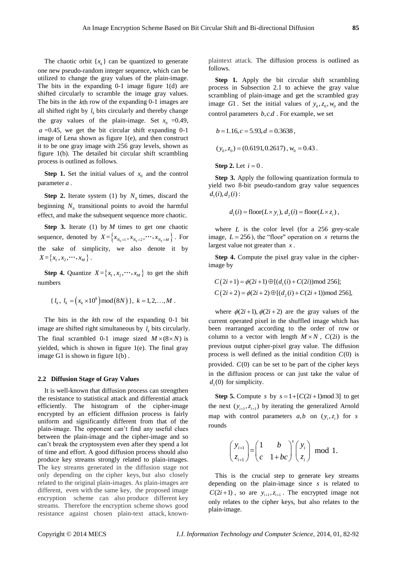The chaotic orbit  $\{x_k\}$  can be quantized to generate one new pseudo-random integer sequence, which can be utilized to change the gray values of the plain-image. The bits in the expanding 0-1 image figure 1(d) are shifted circularly to scramble the image gray values. The bits in the *k*th row of the expanding 0-1 images are all shifted right by  $l_k$  bits circularly and thereby change the gray values of the plain-image. Set  $x_0 = 0.49$ , *a* =0.45, we get the bit circular shift expanding 0-1 image of Lena shown as figure 1(e), and then construct it to be one gray image with 256 gray levels, shown as figure 1(b). The detailed bit circular shift scrambling process is outlined as follows.

**Step 1.** Set the initial values of  $x_0$  and the control parameter *a* .

**Step 2.** Iterate system (1) by  $N_0$  times, discard the beginning  $N_0$  transitional points to avoid the harmful effect, and make the subsequent sequence more chaotic.

**Step 3.** Iterate (1) by *M* times to get one chaotic sequence, denoted by  $X = \{x_{N_0+1}, x_{N_0+2}, \dots, x_{N_0+M}\}\$ . For the sake of simplicity, we also denote it by  $X = \{x_1, x_2, \cdots, x_M\}$ .

**Step 4.** Quantize  $X = \{x_1, x_2, \dots, x_M\}$  to get the shift numbers

$$
\{ l_k, l_k = (x_k \times 10^8) \mod (8N) \}, k = 1, 2, ..., M.
$$

The bits in the *k*th row of the expanding 0-1 bit image are shifted right simultaneous by  $l_k$  bits circularly. The final scrambled 0-1 image sized  $M \times (8 \times N)$  is yielded, which is shown in figure 1(e). The final gray image G1 is shown in figure 1(b) .

#### **2.2 Diffusion Stage of Gray Values**

It is well-known that diffusion process can strengthen the resistance to statistical attack and differential attack efficiently. The histogram of the cipher-image encrypted by an efficient diffusion process is fairly uniform and significantly different from that of the plain-image. The opponent can't find any useful clues between the plain-image and the cipher-image and so can't break the cryptosystem even after they spend a lot of time and effort. A good diffusion process should also produce key streams strongly related to plain-images. The key streams generated in the diffusion stage not only depending on the cipher keys, but also closely related to the original plain-images. As plain-images are different, even with the same key, the proposed image encryption scheme can also produce different key streams. Therefore the encryption scheme shows good resistance against chosen plain-text attack, knownplaintext attack. The diffusion process is outlined as follows.

**Step 1.** Apply the bit circular shift scrambling process in Subsection 2.1 to achieve the gray value scrambling of plain-image and get the scrambled gray image  $GI$ . Set the initial values of  $y_0, z_0, w_0$  and the control parameters  $b, c. d$  . For example, we set

$$
b = 1.16, c = 5.93, d = 0.3638,
$$
  
\n
$$
(y_0, z_0) = (0.6191, 0.2617), w_0 = 0.43.
$$

**Step 2.** Let  $i = 0$ .

**Step 3.** Apply the following quantization formula to yield two 8-bit pseudo-random gray value sequences  $d_1(i), d_2(i)$ :

$$
d_1(i) = \text{floor}(L \times y_i), d_2(i) = \text{floor}(L \times z_i),
$$

where  $L$  is the color level (for a 256 grey-scale image,  $L = 256$ ), the "floor" operation on x returns the largest value not greater than *x* .

**Step 4.** Compute the pixel gray value in the cipherimage by

$$
C(2i+1) = \phi(2i+1) \oplus [(d_1(i) + C(2i)) \mod 256];
$$
  
\n
$$
C(2i+2) = \phi(2i+2) \oplus [(d_2(i) + C(2i+1)) \mod 256],
$$

where  $\phi(2i+1), \phi(2i+2)$  are the gray values of the current operated pixel in the shuffled image which has been rearranged according to the order of row or column to a vector with length  $M \times N$ ,  $C(2i)$  is the previous output cipher-pixel gray value. The diffusion process is well defined as the initial condition  $C(0)$  is provided.  $C(0)$  can be set to be part of the cipher keys in the diffusion process or can just take the value of  $d_1(0)$  for simplicity.

**Step 5.** Compute *s* by  $s = 1 + [C(2i+1) \text{ mod } 3]$  to get the next  $(y_{i+1}, z_{i+1})$  by iterating the generalized Arnold map with control parameters  $a, b$  on  $(y_i, z_i)$  for *s* rounds

$$
\begin{pmatrix} y_{i+1} \\ z_{i+1} \end{pmatrix} = \begin{pmatrix} 1 & b \\ c & 1+bc \end{pmatrix}^s \begin{pmatrix} y_i \\ z_i \end{pmatrix} \mod 1.
$$

This is the crucial step to generate key streams depending on the plain-image since *s* is related to  $C(2i+1)$ , so are  $y_{i+1}, z_{i+1}$ . The encrypted image not only relates to the cipher keys, but also relates to the plain-image.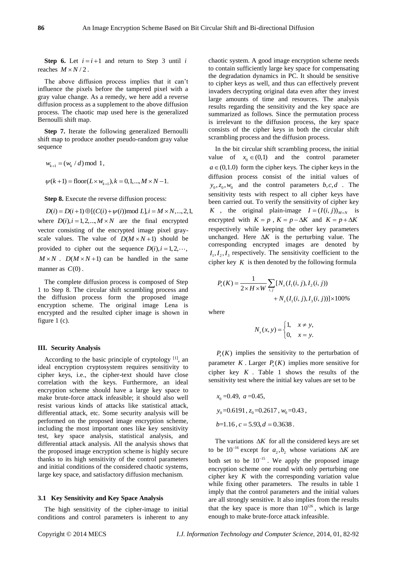**Step 6.** Let  $i = i+1$  and return to Step 3 until i reaches  $M \times N/2$ .

The above diffusion process implies that it can't influence the pixels before the tampered pixel with a gray value change. As a remedy, we here add a reverse diffusion process as a supplement to the above diffusion process. The chaotic map used here is the generalized Bernoulli shift map.

**Step 7.** Iterate the following generalized Bernoulli shift map to produce another pseudo-random gray value sequence

$$
w_{k+1} = (w_k / d) \mod 1,
$$
  
 $\psi(k+1) = \text{floor}(L \times w_{k+1}), k = 0, 1, ..., M \times N - 1.$ 

**Step 8.** Execute the reverse diffusion process:

 $D(i) = D(i+1) \bigoplus [(C(i) + \psi(i)) \text{mod } L], i = M \times N, ..., 2, 1,$ where  $D(i)$ ,  $i = 1, 2, ..., M \times N$  are the final encrypted vector consisting of the encrypted image pixel grayscale values. The value of  $D(M \times N + 1)$  should be provided to cipher out the sequence  $D(i)$ ,  $i = 1, 2, \dots$ ,  $M \times N$ .  $D(M \times N + 1)$  can be handled in the same manner as  $C(0)$ .

The complete diffusion process is composed of Step 1 to Step 8. The circular shift scrambling process and the diffusion process form the proposed image encryption scheme. The original image Lena is encrypted and the resulted cipher image is shown in figure 1 (c).

#### **III. Security Analysis**

According to the basic principle of cryptology  $[1]$ , an ideal encryption cryptosystem requires sensitivity to cipher keys, i.e., the cipher-text should have close correlation with the keys. Furthermore, an ideal encryption scheme should have a large key space to make brute-force attack infeasible; it should also well resist various kinds of attacks like statistical attack, differential attack, etc. Some security analysis will be performed on the proposed image encryption scheme, including the most important ones like key sensitivity test, key space analysis, statistical analysis, and differential attack analysis. All the analysis shows that the proposed image encryption scheme is highly secure thanks to its high sensitivity of the control parameters and initial conditions of the considered chaotic systems, large key space, and satisfactory diffusion mechanism.

#### **3.1 Key Sensitivity and Key Space Analysis**

The high sensitivity of the cipher-image to initial conditions and control parameters is inherent to any chaotic system. A good image encryption scheme needs to contain sufficiently large key space for compensating the degradation dynamics in PC. It should be sensitive to cipher keys as well, and thus can effectively prevent invaders decrypting original data even after they invest large amounts of time and resources. The analysis results regarding the sensitivity and the key space are summarized as follows. Since the permutation process is irrelevant to the diffusion process, the key space consists of the cipher keys in both the circular shift scrambling process and the diffusion process.

In the bit circular shift scrambling process, the initial value of  $x_0 \in (0,1)$  and the control parameter  $a \in (0,1.0)$  form the cipher keys. The cipher keys in the diffusion process consist of the initial values of  $y_0, z_0, w_0$  and the control parameters  $b, c, d$ . The sensitivity tests with respect to all cipher keys have been carried out. To verify the sensitivity of cipher key *K*, the original plain-image  $I = (I(i, j))_{M \times N}$  is encrypted with  $K = p$ ,  $K = p - \Delta K$  and  $K = p + \Delta K$ respectively while keeping the other key parameters unchanged. Here  $\Delta K$  is the perturbing value. The corresponding encrypted images are denoted by  $I_1, I_2, I_3$  respectively. The sensitivity coefficient to the cipher key  $K$  is then denoted by the following formula

$$
P_s(K) = \frac{1}{2 \times H \times W} \sum_{i,j} [N_s(I_1(i,j), I_2(i,j)) + N_s(I_1(i,j), I_3(i,j))] \times 100\%
$$

where

$$
N_s(x, y) = \begin{cases} 1, & x \neq y, \\ 0, & x = y. \end{cases}
$$

 $P<sub>s</sub>(K)$  implies the sensitivity to the perturbation of parameter  $K$ . Larger  $P_s(K)$  implies more sensitive for cipher key  $K$ . Table 1 shows the results of the sensitivity test where the initial key values are set to be

 $x_0 = 0.49$ ,  $a = 0.45$ ,  $y_0$ =0.6191,  $z_0$ =0.2617,  $w_0$ =0.43,  $b=1.16$ ,  $c=5.93$ ,  $d=0.3638$ .

The variations  $\Delta K$  for all the considered keys are set to be  $10^{-16}$  except for  $a_2, b_2$  whose variations  $\Delta K$  are both set to be  $10^{-15}$ . We apply the proposed image encryption scheme one round with only perturbing one cipher key  $K$  with the corresponding variation value while fixing other parameters. The results in table 1 imply that the control parameters and the initial values are all strongly sensitive. It also implies from the results that the key space is more than  $10^{126}$ , which is large enough to make brute-force attack infeasible.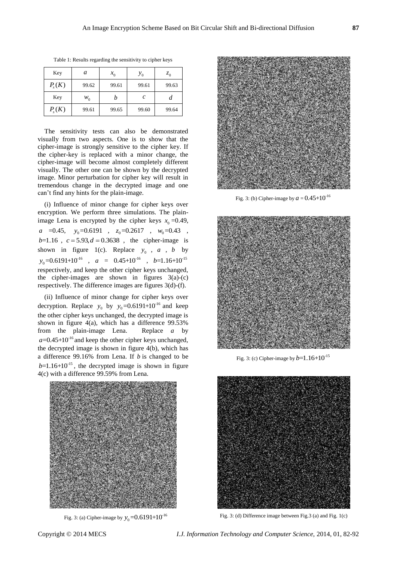| Key        | a     | $x_{0}$ | $y_{0}$ | $z_0$ |
|------------|-------|---------|---------|-------|
| $P_{s}(K)$ | 99.62 | 99.61   | 99.61   | 99.63 |
| Key        | $W_0$ | n       | с       | а     |
| $P_{s}(K)$ | 99.61 | 99.65   | 99.60   | 99.64 |

Table 1: Results regarding the sensitivity to cipher keys

The sensitivity tests can also be demonstrated visually from two aspects. One is to show that the cipher-image is strongly sensitive to the cipher key. If the cipher-key is replaced with a minor change, the cipher-image will become almost completely different visually. The other one can be shown by the decrypted image. Minor perturbation for cipher key will result in tremendous change in the decrypted image and one can't find any hints for the plain-image.

(i) Influence of minor change for cipher keys over encryption. We perform three simulations. The plainimage Lena is encrypted by the cipher keys  $x_0 = 0.49$ , *a* =0.45,  $y_0$ =0.6191,  $z_0$ =0.2617,  $w_0$ =0.43,  $b=1.16$ ,  $c = 5.93, d = 0.3638$ , the cipher-image is shown in figure 1(c). Replace  $y_0$ , *a*, *b* by  $y_0 = 0.6191 + 10^{16}$ , *a* = 0.45+10<sup>-16</sup>, *b*=1.16+10<sup>-15</sup> respectively, and keep the other cipher keys unchanged, the cipher-images are shown in figures  $3(a)-(c)$ respectively. The difference images are figures 3(d)-(f).

(ii) Influence of minor change for cipher keys over decryption. Replace  $y_0$  by  $y_0$ =0.6191+10<sup>-16</sup> and keep the other cipher keys unchanged, the decrypted image is shown in figure 4(a), which has a difference 99.53% from the plain-image Lena. *a* by  $a=0.45+10^{-16}$  and keep the other cipher keys unchanged, the decrypted image is shown in figure 4(b), which has a difference 99.16% from Lena. If *b* is changed to be  $b=1.16+10^{-15}$ , the decrypted image is shown in figure 4(c) with a difference 99.59% from Lena.



Fig. 3: (a) Cipher-image by  $y_0$ =0.6191+10<sup>-16</sup>



Fig. 3: (b) Cipher-image by  $a = 0.45 + 10^{-16}$ 



Fig. 3: (c) Cipher-image by  $b=1.16+10^{-15}$ 



Fig. 3: (d) Difference image between Fig.3 (a) and Fig. 1(c)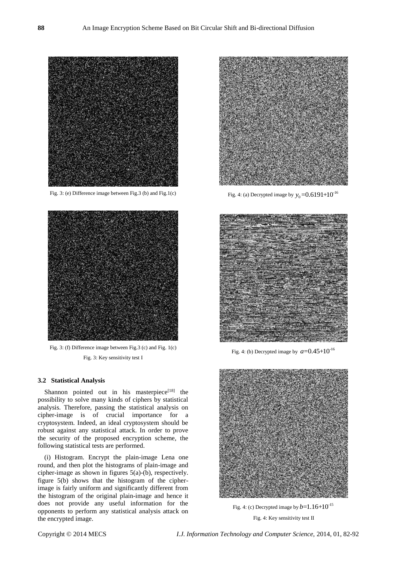

Fig. 3: (e) Difference image between Fig.3 (b) and Fig.1(c)



Fig. 3: (f) Difference image between Fig.3 (c) and Fig. 1(c) Fig. 3: Key sensitivity test I

### **3.2 Statistical Analysis**

Shannon pointed out in his masterpiece $[18]$  the possibility to solve many kinds of ciphers by statistical analysis. Therefore, passing the statistical analysis on cipher-image is of crucial importance for a cryptosystem. Indeed, an ideal cryptosystem should be robust against any statistical attack. In order to prove the security of the proposed encryption scheme, the following statistical tests are performed.

(i) Histogram. Encrypt the plain-image Lena one round, and then plot the histograms of plain-image and cipher-image as shown in figures 5(a)-(b), respectively. figure 5(b) shows that the histogram of the cipherimage is fairly uniform and significantly different from the histogram of the original plain-image and hence it does not provide any useful information for the opponents to perform any statistical analysis attack on the encrypted image.



Fig. 4: (a) Decrypted image by  $y_0 = 0.6191 + 10^{-16}$ 



Fig. 4: (b) Decrypted image by  $a=0.45+10^{-16}$ 



Fig. 4: (c) Decrypted image by  $b=1.16+10^{-15}$ Fig. 4: Key sensitivity test II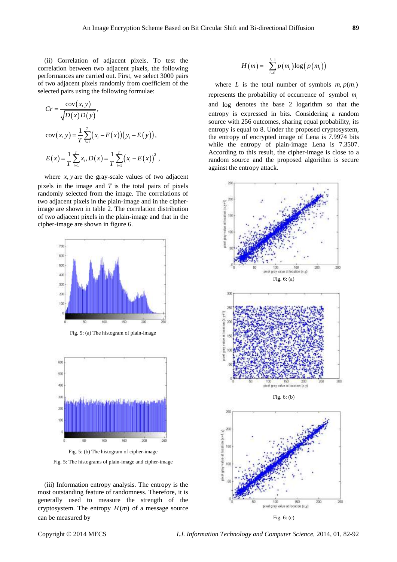(ii) Correlation of adjacent pixels. To test the correlation between two adjacent pixels, the following performances are carried out. First, we select 3000 pairs of two adjacent pixels randomly from coefficient of the selected pairs using the following formulae:

$$
Cr = \frac{\text{cov}(x, y)}{\sqrt{D(x)D(y)}},
$$
  
\n
$$
\text{cov}(x, y) = \frac{1}{T} \sum_{i=1}^{T} (x_i - E(x))(y_i - E(y)),
$$
  
\n
$$
E(x) = \frac{1}{T} \sum_{i=1}^{T} x_i, D(x) = \frac{1}{T} \sum_{i=1}^{T} (x_i - E(x))^2,
$$

where  $x$ ,  $y$  are the gray-scale values of two adjacent pixels in the image and *T* is the total pairs of pixels randomly selected from the image. The correlations of two adjacent pixels in the plain-image and in the cipherimage are shown in table 2. The correlation distribution of two adjacent pixels in the plain-image and that in the cipher-image are shown in figure 6.



Fig. 5: (a) The histogram of plain-image



Fig. 5: The histograms of plain-image and cipher-image

(iii) Information entropy analysis. The entropy is the most outstanding feature of randomness. Therefore, it is generally used to measure the strength of the cryptosystem. The entropy  $H(m)$  of a message source can be measured by

$$
H(m) = -\sum_{i=0}^{L-1} p(m_i) \log (p(m_i))
$$

where *L* is the total number of symbols  $m, p(m_i)$ represents the probability of occurrence of symbol *mi* and log denotes the base 2 logarithm so that the entropy is expressed in bits. Considering a random source with 256 outcomes, sharing equal probability, its entropy is equal to 8. Under the proposed cryptosystem, the entropy of encrypted image of Lena is 7.9974 bits while the entropy of plain-image Lena is 7.3507. According to this result, the cipher-image is close to a random source and the proposed algorithm is secure against the entropy attack.



Copyright © 2014 MECS *I.J. Information Technology and Computer Science,* 2014, 01, 82-92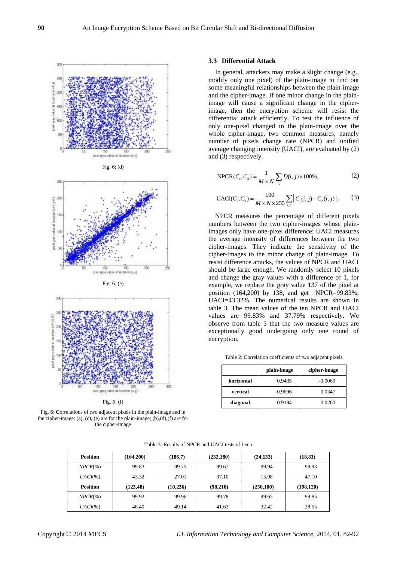





Fig. 6: (e)



Fig. 6: (f)

Fig. 6: **C**orrelations of two adjacent pixels in the plain-image and in the cipher-image: (a), (c), (e) are for the plain-image; (b),(d),(f) are for the cipher-image

#### **3.3 Differential Attack**

In general, attackers may make a slight change (e.g., modify only one pixel) of the plain-image to find out some meaningful relationships between the plain-image and the cipher-image. If one minor change in the plainimage will cause a significant change in the cipherimage, then the encryption scheme will resist the differential attack efficiently. To test the influence of only one-pixel changed in the plain-image over the whole cipher-image, two common measures, namely number of pixels change rate (NPCR) and unified average changing intensity (UACI), are evaluated by (2) and (3) respectively.

NPCR
$$
(C_1, C_2) = \frac{1}{M \times N} \sum_{i,j} D(i, j) \times 100\%,
$$
 (2)

UACI
$$
(C_1, C_2)
$$
 =  $\frac{100}{M \times N \times 255} \sum_{i,j} |C_1(i, j) - C_2(i, j)|$ , (3)

NPCR measures the percentage of different pixels numbers between the two cipher-images whose plainimages only have one-pixel difference; UACI measures the average intensity of differences between the two cipher-images. They indicate the sensitivity of the cipher-images to the minor change of plain-image. To resist difference attacks, the values of NPCR and UACI should be large enough. We randomly select 10 pixels and change the gray values with a difference of 1, for example, we replace the gray value 137 of the pixel at position (164,200) by 138, and get NPCR=99.83%, UACI=43.32%. The numerical results are shown in table 3. The mean values of the ten NPCR and UACI values are 99.83% and 37.79% respectively. We observe from table 3 that the two measure values are exceptionally good undergoing only one round of encryption.

Table 2: Correlation coefficients of two adjacent pixels

|            | plain-image | cipher-image |
|------------|-------------|--------------|
| horizontal | 0.9435      | $-0.0069$    |
| vertical   | 0.9696      | 0.0347       |
| diagonal   | 0.9194      | 0.0200       |

Table 3: Results of NPCR and UACI tests of Lena

| <b>Position</b> | (164, 200) | (186,7)   | (232, 180) | (24, 133)  | (18, 83)   |
|-----------------|------------|-----------|------------|------------|------------|
| $NPCR(\% )$     | 99.83      | 99.75     | 99.67      | 99.94      | 99.93      |
| $UACI(\%)$      | 43.32      | 27.01     | 37.10      | 15.98      | 47.10      |
| <b>Position</b> | (123, 48)  | (10, 236) | (98,210)   | (250, 100) | (198, 120) |
| $NPCR(\% )$     | 99.92      | 99.96     | 99.78      | 99.65      | 99.85      |
| $UACI(\%)$      | 46.40      | 49.14     | 41.63      | 32.42      | 28.55      |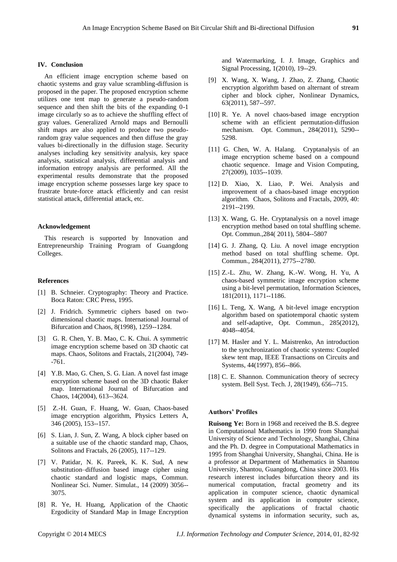#### **IV. Conclusion**

An efficient image encryption scheme based on chaotic systems and gray value scrambling-diffusion is proposed in the paper. The proposed encryption scheme utilizes one tent map to generate a pseudo-random sequence and then shift the bits of the expanding 0-1 image circularly so as to achieve the shuffling effect of gray values. Generalized Arnold maps and Bernoulli shift maps are also applied to produce two pseudorandom gray value sequences and then diffuse the gray values bi-directionally in the diffusion stage. Security analyses including key sensitivity analysis, key space analysis, statistical analysis, differential analysis and information entropy analysis are performed. All the experimental results demonstrate that the proposed image encryption scheme possesses large key space to frustrate brute-force attack efficiently and can resist statistical attack, differential attack, etc.

## **Acknowledgement**

This research is supported by Innovation and Entrepreneurship Training Program of Guangdong Colleges.

#### **References**

- [1] B. Schneier. Cryptography: Theory and Practice. Boca Raton: CRC Press, 1995.
- [2] J. Fridrich. Symmetric ciphers based on twodimensional chaotic maps. International Journal of Bifurcation and Chaos, 8(1998), 1259--1284.
- [3] G. R. Chen, Y. B. Mao, C. K. Chui. A symmetric image encryption scheme based on 3D chaotic cat maps. Chaos, Solitons and Fractals, 21(2004), 749- -761.
- [4] Y.B. Mao, G. Chen, S. G. Lian. A novel fast image encryption scheme based on the 3D chaotic Baker map. International Journal of Bifurcation and Chaos, 14(2004), 613--3624.
- [5] Z.-H. Guan, F. Huang, W. Guan, Chaos-based image encryption algorithm, Physics Letters A, 346 (2005), 153--157.
- [6] S. Lian, J. Sun, Z. Wang, A block cipher based on a suitable use of the chaotic standard map, Chaos, Solitons and Fractals, 26 (2005), 117--129.
- [7] V. Patidar, N. K. Pareek, K. K. Sud, A new substitution–diffusion based image cipher using chaotic standard and logistic maps, Commun. Nonlinear Sci. Numer. Simulat., 14 (2009) 3056-- 3075.
- [8] R. Ye, H. Huang, Application of the Chaotic Ergodicity of Standard Map in Image Encryption

and Watermarking, I. J. Image, Graphics and Signal Processing, 1(2010), 19--29.

- [9] X. Wang, X. Wang, J. Zhao, Z. Zhang, Chaotic encryption algorithm based on alternant of stream cipher and block cipher, Nonlinear Dynamics, 63(2011), 587--597.
- [10] R. Ye. A novel chaos-based image encryption scheme with an efficient permutation-diffusion mechanism. Opt. Commun., 284(2011), 5290-- 5298.
- [11] G. Chen, W. A. Halang. Cryptanalysis of an image encryption scheme based on a compound chaotic sequence. Image and Vision Computing, 27(2009), 1035--1039.
- [12] D. Xiao, X. Liao, P. Wei. Analysis and improvement of a chaos-based image encryption algorithm. Chaos, Solitons and Fractals, 2009, 40: 2191--2199.
- [13] X. Wang, G. He. Cryptanalysis on a novel image encryption method based on total shuffling scheme. Opt. Commun.,284( 2011), 5804--5807
- [14] G. J. Zhang, Q. Liu. A novel image encryption method based on total shuffling scheme. Opt. Commun., 284(2011), 2775--2780.
- [15] Z.-L. Zhu, W. Zhang, K.-W. Wong, H. Yu, A chaos-based symmetric image encryption scheme using a bit-level permutation, Information Sciences, 181(2011), 1171--1186.
- [16] L. Teng, X. Wang, A bit-level image encryption algorithm based on spatiotemporal chaotic system and self-adaptive, Opt. Commun., 285(2012), 4048--4054.
- [17] M. Hasler and Y. L. Maistrenko, An introduction to the synchronization of chaotic systems: Coupled skew tent map, IEEE Transactions on Circuits and Systems, 44(1997), 856--866.
- [18] C. E. Shannon. Communication theory of secrecy system. Bell Syst. Tech. J, 28(1949), 656--715.

# **Authors' Profiles**

**Ruisong Ye:** Born in 1968 and received the B.S. degree in Computational Mathematics in 1990 from Shanghai University of Science and Technology, Shanghai, China and the Ph. D. degree in Computational Mathematics in 1995 from Shanghai University, Shanghai, China. He is a professor at Department of Mathematics in Shantou University, Shantou, Guangdong, China since 2003. His research interest includes bifurcation theory and its numerical computation, fractal geometry and its application in computer science, chaotic dynamical system and its application in computer science, specifically the applications of fractal chaotic dynamical systems in information security, such as,